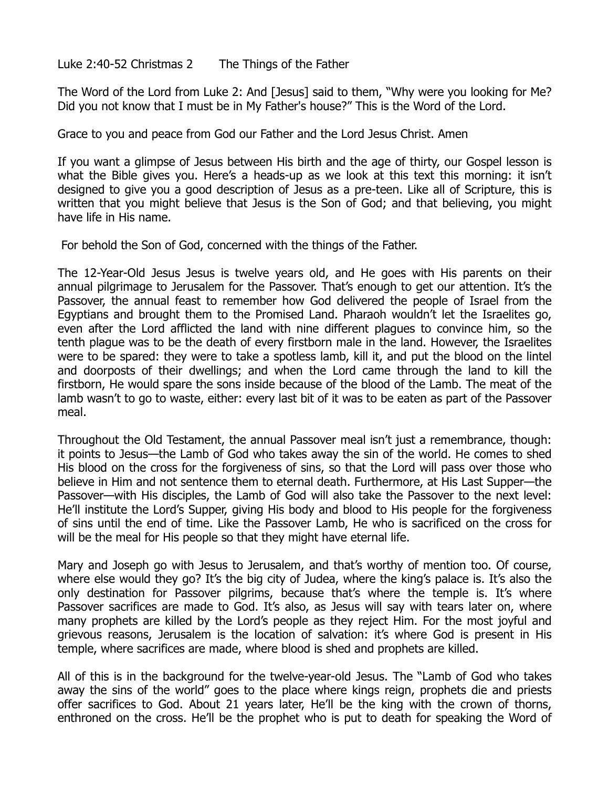Luke 2:40-52 Christmas 2 The Things of the Father

The Word of the Lord from Luke 2: And [Jesus] said to them, "Why were you looking for Me? Did you not know that I must be in My Father's house?" This is the Word of the Lord.

Grace to you and peace from God our Father and the Lord Jesus Christ. Amen

If you want a glimpse of Jesus between His birth and the age of thirty, our Gospel lesson is what the Bible gives you. Here's a heads-up as we look at this text this morning: it isn't designed to give you a good description of Jesus as a pre-teen. Like all of Scripture, this is written that you might believe that Jesus is the Son of God; and that believing, you might have life in His name.

For behold the Son of God, concerned with the things of the Father.

The 12-Year-Old Jesus Jesus is twelve years old, and He goes with His parents on their annual pilgrimage to Jerusalem for the Passover. That's enough to get our attention. It's the Passover, the annual feast to remember how God delivered the people of Israel from the Egyptians and brought them to the Promised Land. Pharaoh wouldn't let the Israelites go, even after the Lord afflicted the land with nine different plagues to convince him, so the tenth plague was to be the death of every firstborn male in the land. However, the Israelites were to be spared: they were to take a spotless lamb, kill it, and put the blood on the lintel and doorposts of their dwellings; and when the Lord came through the land to kill the firstborn, He would spare the sons inside because of the blood of the Lamb. The meat of the lamb wasn't to go to waste, either: every last bit of it was to be eaten as part of the Passover meal.

Throughout the Old Testament, the annual Passover meal isn't just a remembrance, though: it points to Jesus—the Lamb of God who takes away the sin of the world. He comes to shed His blood on the cross for the forgiveness of sins, so that the Lord will pass over those who believe in Him and not sentence them to eternal death. Furthermore, at His Last Supper—the Passover—with His disciples, the Lamb of God will also take the Passover to the next level: He'll institute the Lord's Supper, giving His body and blood to His people for the forgiveness of sins until the end of time. Like the Passover Lamb, He who is sacrificed on the cross for will be the meal for His people so that they might have eternal life.

Mary and Joseph go with Jesus to Jerusalem, and that's worthy of mention too. Of course, where else would they go? It's the big city of Judea, where the king's palace is. It's also the only destination for Passover pilgrims, because that's where the temple is. It's where Passover sacrifices are made to God. It's also, as Jesus will say with tears later on, where many prophets are killed by the Lord's people as they reject Him. For the most joyful and grievous reasons, Jerusalem is the location of salvation: it's where God is present in His temple, where sacrifices are made, where blood is shed and prophets are killed.

All of this is in the background for the twelve-year-old Jesus. The "Lamb of God who takes away the sins of the world" goes to the place where kings reign, prophets die and priests offer sacrifices to God. About 21 years later, He'll be the king with the crown of thorns, enthroned on the cross. He'll be the prophet who is put to death for speaking the Word of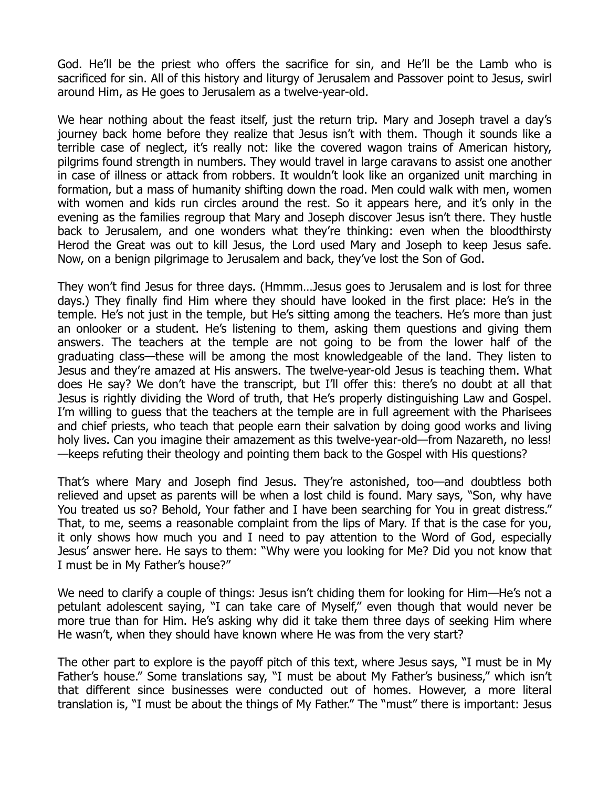God. He'll be the priest who offers the sacrifice for sin, and He'll be the Lamb who is sacrificed for sin. All of this history and liturgy of Jerusalem and Passover point to Jesus, swirl around Him, as He goes to Jerusalem as a twelve-year-old.

We hear nothing about the feast itself, just the return trip. Mary and Joseph travel a day's journey back home before they realize that Jesus isn't with them. Though it sounds like a terrible case of neglect, it's really not: like the covered wagon trains of American history, pilgrims found strength in numbers. They would travel in large caravans to assist one another in case of illness or attack from robbers. It wouldn't look like an organized unit marching in formation, but a mass of humanity shifting down the road. Men could walk with men, women with women and kids run circles around the rest. So it appears here, and it's only in the evening as the families regroup that Mary and Joseph discover Jesus isn't there. They hustle back to Jerusalem, and one wonders what they're thinking: even when the bloodthirsty Herod the Great was out to kill Jesus, the Lord used Mary and Joseph to keep Jesus safe. Now, on a benign pilgrimage to Jerusalem and back, they've lost the Son of God.

They won't find Jesus for three days. (Hmmm…Jesus goes to Jerusalem and is lost for three days.) They finally find Him where they should have looked in the first place: He's in the temple. He's not just in the temple, but He's sitting among the teachers. He's more than just an onlooker or a student. He's listening to them, asking them questions and giving them answers. The teachers at the temple are not going to be from the lower half of the graduating class—these will be among the most knowledgeable of the land. They listen to Jesus and they're amazed at His answers. The twelve-year-old Jesus is teaching them. What does He say? We don't have the transcript, but I'll offer this: there's no doubt at all that Jesus is rightly dividing the Word of truth, that He's properly distinguishing Law and Gospel. I'm willing to guess that the teachers at the temple are in full agreement with the Pharisees and chief priests, who teach that people earn their salvation by doing good works and living holy lives. Can you imagine their amazement as this twelve-year-old—from Nazareth, no less! —keeps refuting their theology and pointing them back to the Gospel with His questions?

That's where Mary and Joseph find Jesus. They're astonished, too—and doubtless both relieved and upset as parents will be when a lost child is found. Mary says, "Son, why have You treated us so? Behold, Your father and I have been searching for You in great distress." That, to me, seems a reasonable complaint from the lips of Mary. If that is the case for you, it only shows how much you and I need to pay attention to the Word of God, especially Jesus' answer here. He says to them: "Why were you looking for Me? Did you not know that I must be in My Father's house?"

We need to clarify a couple of things: Jesus isn't chiding them for looking for Him—He's not a petulant adolescent saying, "I can take care of Myself," even though that would never be more true than for Him. He's asking why did it take them three days of seeking Him where He wasn't, when they should have known where He was from the very start?

The other part to explore is the payoff pitch of this text, where Jesus says, "I must be in My Father's house." Some translations say, "I must be about My Father's business," which isn't that different since businesses were conducted out of homes. However, a more literal translation is, "I must be about the things of My Father." The "must" there is important: Jesus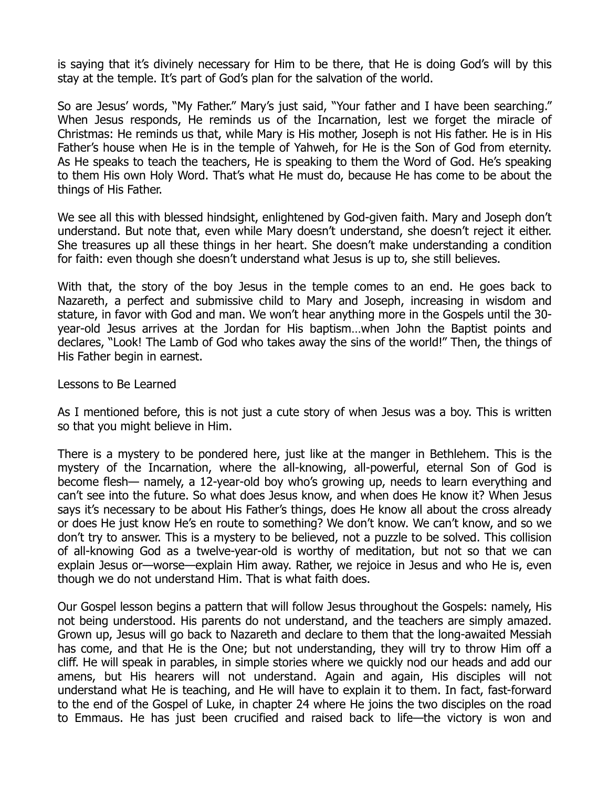is saying that it's divinely necessary for Him to be there, that He is doing God's will by this stay at the temple. It's part of God's plan for the salvation of the world.

So are Jesus' words, "My Father." Mary's just said, "Your father and I have been searching." When Jesus responds, He reminds us of the Incarnation, lest we forget the miracle of Christmas: He reminds us that, while Mary is His mother, Joseph is not His father. He is in His Father's house when He is in the temple of Yahweh, for He is the Son of God from eternity. As He speaks to teach the teachers, He is speaking to them the Word of God. He's speaking to them His own Holy Word. That's what He must do, because He has come to be about the things of His Father.

We see all this with blessed hindsight, enlightened by God-given faith. Mary and Joseph don't understand. But note that, even while Mary doesn't understand, she doesn't reject it either. She treasures up all these things in her heart. She doesn't make understanding a condition for faith: even though she doesn't understand what Jesus is up to, she still believes.

With that, the story of the boy Jesus in the temple comes to an end. He goes back to Nazareth, a perfect and submissive child to Mary and Joseph, increasing in wisdom and stature, in favor with God and man. We won't hear anything more in the Gospels until the 30 year-old Jesus arrives at the Jordan for His baptism…when John the Baptist points and declares, "Look! The Lamb of God who takes away the sins of the world!" Then, the things of His Father begin in earnest.

## Lessons to Be Learned

As I mentioned before, this is not just a cute story of when Jesus was a boy. This is written so that you might believe in Him.

There is a mystery to be pondered here, just like at the manger in Bethlehem. This is the mystery of the Incarnation, where the all-knowing, all-powerful, eternal Son of God is become flesh— namely, a 12-year-old boy who's growing up, needs to learn everything and can't see into the future. So what does Jesus know, and when does He know it? When Jesus says it's necessary to be about His Father's things, does He know all about the cross already or does He just know He's en route to something? We don't know. We can't know, and so we don't try to answer. This is a mystery to be believed, not a puzzle to be solved. This collision of all-knowing God as a twelve-year-old is worthy of meditation, but not so that we can explain Jesus or—worse—explain Him away. Rather, we rejoice in Jesus and who He is, even though we do not understand Him. That is what faith does.

Our Gospel lesson begins a pattern that will follow Jesus throughout the Gospels: namely, His not being understood. His parents do not understand, and the teachers are simply amazed. Grown up, Jesus will go back to Nazareth and declare to them that the long-awaited Messiah has come, and that He is the One; but not understanding, they will try to throw Him off a cliff. He will speak in parables, in simple stories where we quickly nod our heads and add our amens, but His hearers will not understand. Again and again, His disciples will not understand what He is teaching, and He will have to explain it to them. In fact, fast-forward to the end of the Gospel of Luke, in chapter 24 where He joins the two disciples on the road to Emmaus. He has just been crucified and raised back to life—the victory is won and